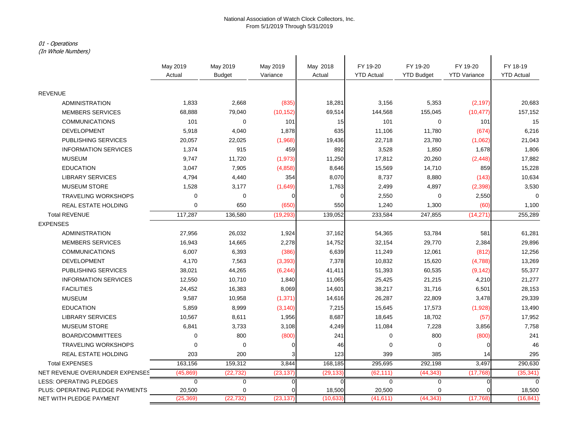# 01 - Operations

(In Whole Numbers)

| (In whole Numbers)              |                |                |           |            |                   |                   |                     |                   |
|---------------------------------|----------------|----------------|-----------|------------|-------------------|-------------------|---------------------|-------------------|
|                                 | May 2019       | May 2019       | May 2019  | May 2018   | FY 19-20          | FY 19-20          | FY 19-20            | FY 18-19          |
|                                 | Actual         | <b>Budget</b>  | Variance  | Actual     | <b>YTD Actual</b> | <b>YTD Budget</b> | <b>YTD Variance</b> | <b>YTD Actual</b> |
| <b>REVENUE</b>                  |                |                |           |            |                   |                   |                     |                   |
| <b>ADMINISTRATION</b>           | 1,833          | 2,668          | (835)     | 18,281     | 3,156             | 5,353             | (2, 197)            | 20,683            |
| <b>MEMBERS SERVICES</b>         | 68,888         | 79,040         | (10, 152) | 69,514     | 144,568           | 155,045           | (10, 477)           | 157,152           |
| <b>COMMUNICATIONS</b>           | 101            | $\mathbf 0$    | 101       | 15         | 101               | $\mathbf 0$       | 101                 | 15                |
| <b>DEVELOPMENT</b>              | 5,918          | 4,040          | 1,878     | 635        | 11,106            | 11,780            | (674)               | 6,216             |
| PUBLISHING SERVICES             | 20,057         | 22,025         | (1,968)   | 19,436     | 22,718            | 23,780            | (1,062)             | 21,043            |
| <b>INFORMATION SERVICES</b>     | 1,374          | 915            | 459       | 892        | 3,528             | 1,850             | 1,678               | 1,806             |
| <b>MUSEUM</b>                   | 9,747          | 11,720         | (1, 973)  | 11,250     | 17,812            | 20,260            | (2, 448)            | 17,882            |
| <b>EDUCATION</b>                | 3,047          | 7,905          | (4,858)   | 8,646      | 15,569            | 14,710            | 859                 | 15,228            |
| <b>LIBRARY SERVICES</b>         | 4,794          | 4,440          | 354       | 8,070      | 8,737             | 8,880             | (143)               | 10,634            |
| <b>MUSEUM STORE</b>             | 1,528          | 3,177          | (1,649)   | 1,763      | 2,499             | 4,897             | (2, 398)            | 3,530             |
| <b>TRAVELING WORKSHOPS</b>      | 0              | $\mathbf 0$    |           | $\sqrt{ }$ | 2,550             | $\Omega$          | 2,550               | $\Omega$          |
| REAL ESTATE HOLDING             | 0              | 650            | (650)     | 550        | 1,240             | 1,300             | (60)                | 1,100             |
| <b>Total REVENUE</b>            | 117,287        | 136,580        | (19, 293) | 139,052    | 233,584           | 247,855           | (14, 271)           | 255,289           |
| <b>EXPENSES</b>                 |                |                |           |            |                   |                   |                     |                   |
| <b>ADMINISTRATION</b>           | 27,956         | 26,032         | 1,924     | 37,162     | 54,365            | 53,784            | 581                 | 61,281            |
| <b>MEMBERS SERVICES</b>         | 16,943         | 14,665         | 2,278     | 14,752     | 32,154            | 29,770            | 2,384               | 29,896            |
| <b>COMMUNICATIONS</b>           | 6,007          | 6,393          | (386)     | 6,639      | 11,249            | 12,061            | (812)               | 12,256            |
| <b>DEVELOPMENT</b>              | 4,170          | 7,563          | (3, 393)  | 7,378      | 10,832            | 15,620            | (4,788)             | 13,269            |
| <b>PUBLISHING SERVICES</b>      | 38,021         | 44,265         | (6, 244)  | 41,411     | 51,393            | 60,535            | (9, 142)            | 55,377            |
| <b>INFORMATION SERVICES</b>     | 12,550         | 10,710         | 1,840     | 11,065     | 25,425            | 21,215            | 4,210               | 21,277            |
| <b>FACILITIES</b>               | 24,452         | 16,383         | 8,069     | 14,601     | 38,217            | 31,716            | 6,501               | 28,153            |
| <b>MUSEUM</b>                   | 9,587          | 10,958         | (1, 371)  | 14,616     | 26,287            | 22,809            | 3,478               | 29,339            |
| <b>EDUCATION</b>                | 5,859          | 8,999          | (3, 140)  | 7,215      | 15,645            | 17,573            | (1,928)             | 13,490            |
| <b>LIBRARY SERVICES</b>         | 10,567         | 8,611          | 1,956     | 8,687      | 18,645            | 18,702            | (57)                | 17,952            |
| <b>MUSEUM STORE</b>             | 6,841          | 3,733          | 3,108     | 4,249      | 11,084            | 7,228             | 3,856               | 7,758             |
| <b>BOARD/COMMITTEES</b>         | $\mathbf 0$    | 800            | (800)     | 241        | $\mathbf 0$       | 800               | (800)               | 241               |
| <b>TRAVELING WORKSHOPS</b>      | $\Omega$       | $\mathbf 0$    |           | 46         | $\mathbf 0$       | $\Omega$          | O                   | 46                |
| REAL ESTATE HOLDING             | 203            | 200            |           | 123        | 399               | 385               | 14                  | 295               |
| <b>Total EXPENSES</b>           | 163,156        | 159,312        | 3,844     | 168,185    | 295,695           | 292,198           | 3,497               | 290,630           |
| NET REVENUE OVER/UNDER EXPENSES | (45, 869)      | (22, 732)      | (23, 137) | (29, 133)  | (62, 111)         | (44, 343)         | (17, 768)           | (35, 341)         |
| <b>LESS: OPERATING PLEDGES</b>  | $\overline{0}$ | $\overline{0}$ |           | $\Omega$   | $\overline{0}$    | $\overline{0}$    |                     | $\overline{0}$    |
| PLUS: OPERATING PLEDGE PAYMENTS | 20,500         | 0              |           | 18,500     | 20,500            | 0                 |                     | 18,500            |
| NET WITH PLEDGE PAYMENT         | (25, 369)      | (22, 732)      | (23, 137) | (10, 633)  | (41, 611)         | (44, 343)         | (17,768)            | (16, 841)         |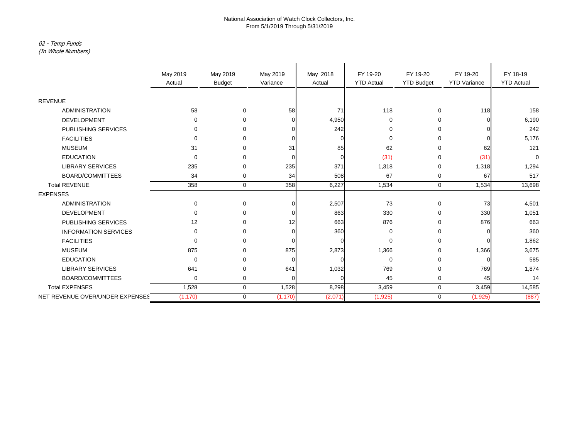# 02 - Temp Funds

(In Whole Numbers)

|                                 | May 2019    | May 2019      | May 2019 | May 2018 | FY 19-20          | FY 19-20          | FY 19-20            | FY 18-19          |
|---------------------------------|-------------|---------------|----------|----------|-------------------|-------------------|---------------------|-------------------|
|                                 | Actual      | <b>Budget</b> | Variance | Actual   | <b>YTD Actual</b> | <b>YTD Budget</b> | <b>YTD Variance</b> | <b>YTD Actual</b> |
|                                 |             |               |          |          |                   |                   |                     |                   |
| <b>REVENUE</b>                  |             |               |          |          |                   |                   |                     |                   |
| <b>ADMINISTRATION</b>           | 58          | $\mathbf 0$   | 58       | 71       | 118               | 0                 | 118                 | 158               |
| <b>DEVELOPMENT</b>              | $\Omega$    | $\Omega$      |          | 4,950    | $\mathbf 0$       | $\mathbf 0$       |                     | 6,190             |
| PUBLISHING SERVICES             | 0           | $\Omega$      |          | 242      | 0                 | 0                 |                     | 242               |
| <b>FACILITIES</b>               | $\Omega$    | ∩             |          | ∩        | $\mathbf 0$       | 0                 |                     | 5,176             |
| <b>MUSEUM</b>                   | 31          | $\Omega$      | 31       | 85       | 62                | $\Omega$          | 62                  | 121               |
| <b>EDUCATION</b>                | $\Omega$    | <sup>0</sup>  |          | $\Omega$ | (31)              | $\Omega$          | (31)                | $\mathbf 0$       |
| <b>LIBRARY SERVICES</b>         | 235         | $\Omega$      | 235      | 371      | 1,318             | 0                 | 1,318               | 1,294             |
| <b>BOARD/COMMITTEES</b>         | 34          | $\mathbf 0$   | 34       | 508      | 67                | 0                 | 67                  | 517               |
| <b>Total REVENUE</b>            | 358         | $\mathbf 0$   | 358      | 6,227    | 1,534             | $\mathbf 0$       | 1,534               | 13,698            |
| <b>EXPENSES</b>                 |             |               |          |          |                   |                   |                     |                   |
| <b>ADMINISTRATION</b>           | $\mathbf 0$ | $\mathbf 0$   |          | 2,507    | 73                | $\mathbf 0$       | 73                  | 4,501             |
| <b>DEVELOPMENT</b>              | $\Omega$    | 0             |          | 863      | 330               | 0                 | 330                 | 1,051             |
| PUBLISHING SERVICES             | 12          | $\Omega$      | 12       | 663      | 876               | $\Omega$          | 876                 | 663               |
| <b>INFORMATION SERVICES</b>     | $\Omega$    | $\Omega$      |          | 360      | 0                 | $\Omega$          |                     | 360               |
| <b>FACILITIES</b>               | 0           | ∩             |          | ∩        | $\Omega$          | 0                 |                     | 1,862             |
| <b>MUSEUM</b>                   | 875         | $\Omega$      | 875      | 2,873    | 1,366             | 0                 | 1,366               | 3,675             |
| <b>EDUCATION</b>                | $\mathbf 0$ | ∩             |          |          | $\mathbf 0$       | 0                 |                     | 585               |
| <b>LIBRARY SERVICES</b>         | 641         | ∩             | 641      | 1,032    | 769               | 0                 | 769                 | 1,874             |
| BOARD/COMMITTEES                | $\mathbf 0$ | 0             |          | $\Omega$ | 45                | 0                 | 45                  | 14                |
| <b>Total EXPENSES</b>           | 1,528       | $\mathbf 0$   | 1,528    | 8,298    | 3,459             | $\mathbf 0$       | 3,459               | 14,585            |
| NET REVENUE OVER/UNDER EXPENSES | (1, 170)    | $\mathbf 0$   | (1, 170) | (2,071)  | (1,925)           | $\mathbf 0$       | (1,925)             | (887)             |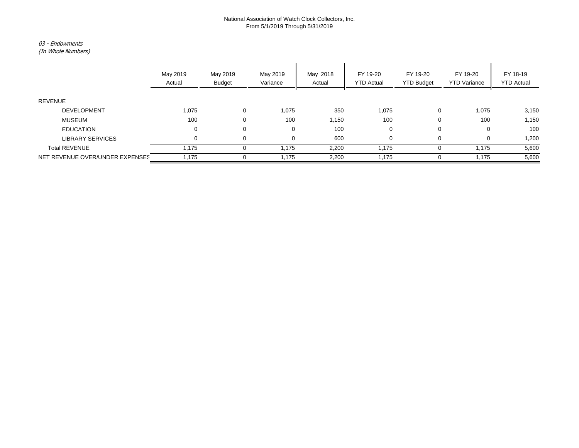### 03 - Endowments

(In Whole Numbers)

|                                 | May 2019<br>Actual | May 2019<br><b>Budget</b> | May 2019<br>Variance | May 2018<br>Actual | FY 19-20<br><b>YTD Actual</b> | FY 19-20<br><b>YTD Budget</b> | FY 19-20<br><b>YTD Variance</b> | FY 18-19<br><b>YTD Actual</b> |
|---------------------------------|--------------------|---------------------------|----------------------|--------------------|-------------------------------|-------------------------------|---------------------------------|-------------------------------|
| <b>REVENUE</b>                  |                    |                           |                      |                    |                               |                               |                                 |                               |
| <b>DEVELOPMENT</b>              | 1,075              | $\mathbf{0}$              | 1,075                | 350                | 1,075                         | $\mathbf 0$                   | 1,075                           | 3,150                         |
| MUSEUM                          | 100                | $\mathbf{0}$              | 100                  | 1,150              | 100                           | 0                             | 100                             | 1,150                         |
| <b>EDUCATION</b>                | 0                  | $\mathbf{0}$              | 0                    | 100                | 0                             | $\mathbf 0$                   | 0                               | 100                           |
| <b>LIBRARY SERVICES</b>         | 0                  | $\mathbf 0$               | 0                    | 600                | 0                             | $\mathbf 0$                   | 0                               | 1,200                         |
| <b>Total REVENUE</b>            | 1,175              | 0                         | 1,175                | 2,200              | 1,175                         | 0                             | 1,175                           | 5,600                         |
| NET REVENUE OVER/UNDER EXPENSES | 1,175              |                           | 1.175                | 2,200              | 1.175                         |                               | 1.175                           | 5,600                         |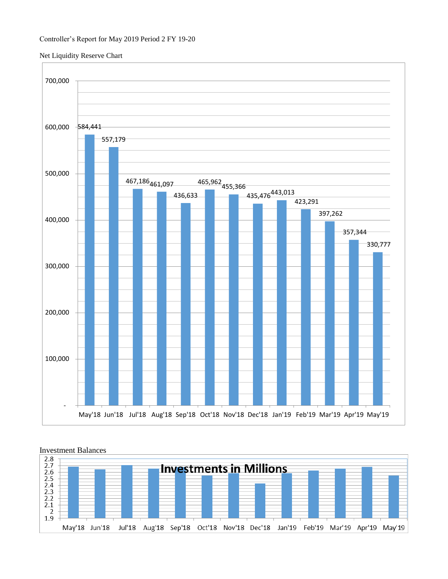### Net Liquidity Reserve Chart





## Investment Balances